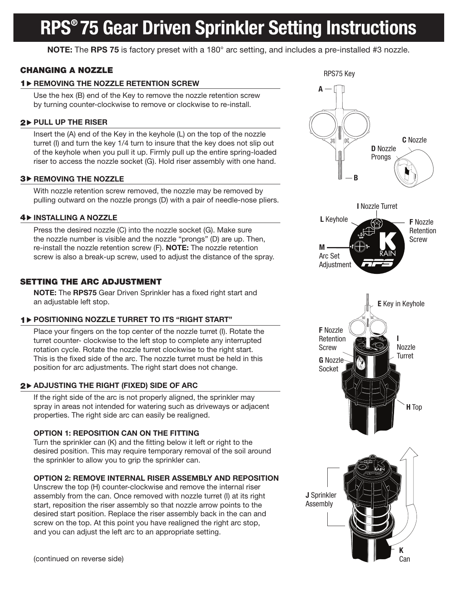# RPS® 75 Gear Driven Sprinkler Setting Instructions

NOTE: The RPS 75 is factory preset with a 180° arc setting, and includes a pre-installed #3 nozzle.

# CHANGING A NOZZLE

# 1 D REMOVING THE NOZZLE RETENTION SCREW

Use the hex (B) end of the Key to remove the nozzle retention screw by turning counter-clockwise to remove or clockwise to re-install.

# $2$  > PULL UP THE RISER

Insert the (A) end of the Key in the keyhole (L) on the top of the nozzle turret (I) and turn the key 1/4 turn to insure that the key does not slip out of the keyhole when you pull it up. Firmly pull up the entire spring-loaded riser to access the nozzle socket (G). Hold riser assembly with one hand.

### 3<sup>></sup> REMOVING THE NOZZLE

With nozzle retention screw removed, the nozzle may be removed by pulling outward on the nozzle prongs (D) with a pair of needle-nose pliers.

### **4 DINSTALLING A NOZZLE**

Press the desired nozzle (C) into the nozzle socket (G). Make sure the nozzle number is visible and the nozzle "prongs" (D) are up. Then, re-install the nozzle retention screw (F). **NOTE:** The nozzle retention screw is also a break-up screw, used to adjust the distance of the spray.

# SETTING THE ARC ADJUSTMENT

NOTE: The RPS75 Gear Driven Sprinkler has a fixed right start and an adjustable left stop.

# 1 POSITIONING NOZZLE TURRET TO ITS "RIGHT START"

Place your fingers on the top center of the nozzle turret (I). Rotate the turret counter- clockwise to the left stop to complete any interrupted rotation cycle. Rotate the nozzle turret clockwise to the right start. This is the fixed side of the arc. The nozzle turret must be held in this position for arc adjustments. The right start does not change.

# $2\,$  ADJUSTING THE RIGHT (FIXED) SIDE OF ARC

If the right side of the arc is not properly aligned, the sprinkler may spray in areas not intended for watering such as driveways or adjacent properties. The right side arc can easily be realigned.

# OPTION 1: REPOSITION CAN ON THE FITTING

Turn the sprinkler can (K) and the fitting below it left or right to the desired position. This may require temporary removal of the soil around the sprinkler to allow you to grip the sprinkler can.

## OPTION 2: REMOVE INTERNAL RISER ASSEMBLY AND REPOSITION

Unscrew the top (H) counter-clockwise and remove the internal riser assembly from the can. Once removed with nozzle turret (I) at its right start, reposition the riser assembly so that nozzle arrow points to the desired start position. Replace the riser assembly back in the can and screw on the top. At this point you have realigned the right arc stop, and you can adjust the left arc to an appropriate setting.